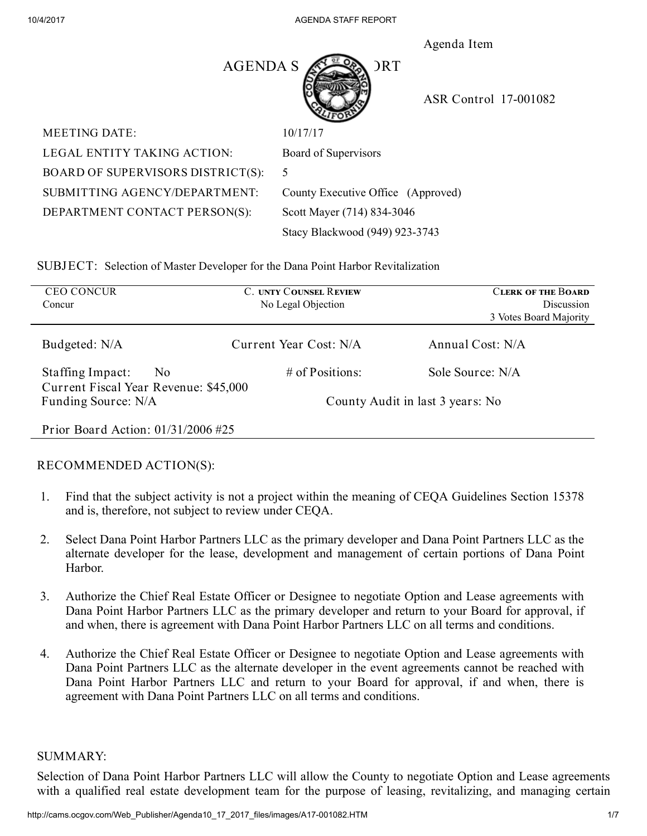Agenda Item



ASR Control 17-001082

| <b>MEETING DATE:</b>              | 10/17/17 |
|-----------------------------------|----------|
| LEGAL ENTITY TAKING ACTION:       | Board of |
| BOARD OF SUPERVISORS DISTRICT(S): |          |
| SUBMITTING AGENCY/DEPARTMENT:     | County E |
| DEPARTMENT CONTACT PERSON(S):     | Scott Ma |
|                                   |          |

d of Supervisors ty Executive Office (Approved) Mayer (714) 834-3046 Stacy Blackwood (949) 923-3743

SUBJECT: Selection of Master Developer for the Dana Point Harbor Revitalization

| <b>CEO CONCUR</b><br>Concur                                                 | <b>C. UNTY COUNSEL REVIEW</b><br>No Legal Objection | <b>CLERK OF THE BOARD</b><br>Discussion<br>3 Votes Board Majority |
|-----------------------------------------------------------------------------|-----------------------------------------------------|-------------------------------------------------------------------|
| Budgeted: N/A                                                               | Current Year Cost: N/A                              | Annual Cost: N/A                                                  |
| Staffing Impact:<br>N <sub>0</sub><br>Current Fiscal Year Revenue: \$45,000 | $#$ of Positions:                                   | Sole Source: N/A                                                  |
| Funding Source: N/A                                                         |                                                     | County Audit in last 3 years: No                                  |
| Prior Board Action: $01/31/2006$ #25                                        |                                                     |                                                                   |

## RECOMMENDED ACTION(S):

- 1. Find that the subject activity is not a project within the meaning of CEQA Guidelines Section 15378 and is, therefore, not subject to review under CEQA.
- 2. Select Dana Point Harbor Partners LLC as the primary developer and Dana Point Partners LLC as the alternate developer for the lease, development and management of certain portions of Dana Point Harbor.
- 3. Authorize the Chief Real Estate Officer or Designee to negotiate Option and Lease agreements with Dana Point Harbor Partners LLC as the primary developer and return to your Board for approval, if and when, there is agreement with Dana Point Harbor Partners LLC on all terms and conditions.
- 4. Authorize the Chief Real Estate Officer or Designee to negotiate Option and Lease agreements with Dana Point Partners LLC as the alternate developer in the event agreements cannot be reached with Dana Point Harbor Partners LLC and return to your Board for approval, if and when, there is agreement with Dana Point Partners LLC on all terms and conditions.

#### SUMMARY:

Selection of Dana Point Harbor Partners LLC will allow the County to negotiate Option and Lease agreements with a qualified real estate development team for the purpose of leasing, revitalizing, and managing certain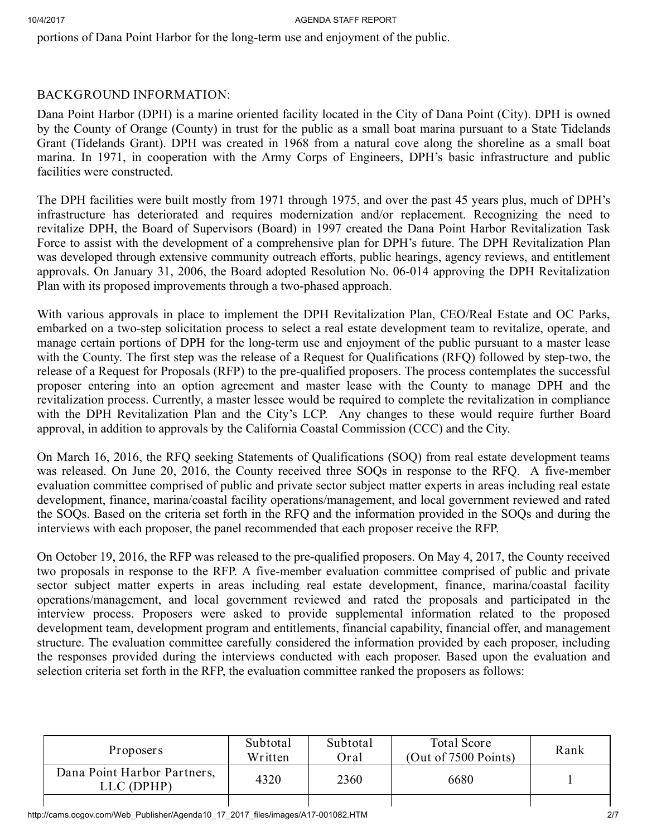#### 10/4/2017 **AGENUA STAFF REPORT**

portions of Dana Point Harbor for the long-term use and enjoyment of the public.

### BACKGROUND INFORMATION:

Dana Point Harbor (DPH) is a marine oriented facility located in the City of Dana Point (City). DPH is owned by the County of Orange (County) in trust for the public as a small boat marina pursuant to a State Tidelands Grant (Tidelands Grant). DPH was created in 1968 from a natural cove along the shoreline as a small boat marina. In 1971, in cooperation with the Army Corps of Engineers, DPH's basic infrastructure and public facilities were constructed.

The DPH facilities were built mostly from 1971 through 1975, and over the past 45 years plus, much of DPH's infrastructure has deteriorated and requires modernization and/or replacement. Recognizing the need to revitalize DPH, the Board of Supervisors (Board) in 1997 created the Dana Point Harbor Revitalization Task Force to assist with the development of a comprehensive plan for DPH's future. The DPH Revitalization Plan was developed through extensive community outreach efforts, public hearings, agency reviews, and entitlement approvals. On January 31, 2006, the Board adopted Resolution No. 06-014 approving the DPH Revitalization Plan with its proposed improvements through a two-phased approach.

With various approvals in place to implement the DPH Revitalization Plan, CEO/Real Estate and OC Parks, embarked on a two-step solicitation process to select a real estate development team to revitalize, operate, and manage certain portions of DPH for the long-term use and enjoyment of the public pursuant to a master lease with the County. The first step was the release of a Request for Qualifications (RFQ) followed by step-two, the release of a Request for Proposals (RFP) to the pre-qualified proposers. The process contemplates the successful proposer entering into an option agreement and master lease with the County to manage DPH and the revitalization process. Currently, a master lessee would be required to complete the revitalization in compliance with the DPH Revitalization Plan and the City's LCP. Any changes to these would require further Board approval, in addition to approvals by the California Coastal Commission (CCC) and the City.

On March 16, 2016, the RFQ seeking Statements of Qualifications (SOQ) from real estate development teams was released. On June 20, 2016, the County received three SOQs in response to the RFQ. A five-member evaluation committee comprised of public and private sector subject matter experts in areas including real estate development, finance, marina/coastal facility operations/management, and local government reviewed and rated the SOQs. Based on the criteria set forth in the RFQ and the information provided in the SOQs and during the interviews with each proposer, the panel recommended that each proposer receive the RFP.

On October 19, 2016, the RFP was released to the pre-qualified proposers. On May 4, 2017, the County received two proposals in response to the RFP. A five-member evaluation committee comprised of public and private sector subject matter experts in areas including real estate development, finance, marina/coastal facility operations/management, and local government reviewed and rated the proposals and participated in the interview process. Proposers were asked to provide supplemental information related to the proposed development team, development program and entitlements, financial capability, financial offer, and management structure. The evaluation committee carefully considered the information provided by each proposer, including the responses provided during the interviews conducted with each proposer. Based upon the evaluation and selection criteria set forth in the RFP, the evaluation committee ranked the proposers as follows:

| Proposers                                 | Subtotal<br>Written | Subtotal<br>Oral | <b>Total Score</b><br>(Out of 7500 Points) | Rank |
|-------------------------------------------|---------------------|------------------|--------------------------------------------|------|
| Dana Point Harbor Partners,<br>LLC (DPHP) | 4320                | 2360             | 6680                                       |      |
|                                           |                     |                  |                                            |      |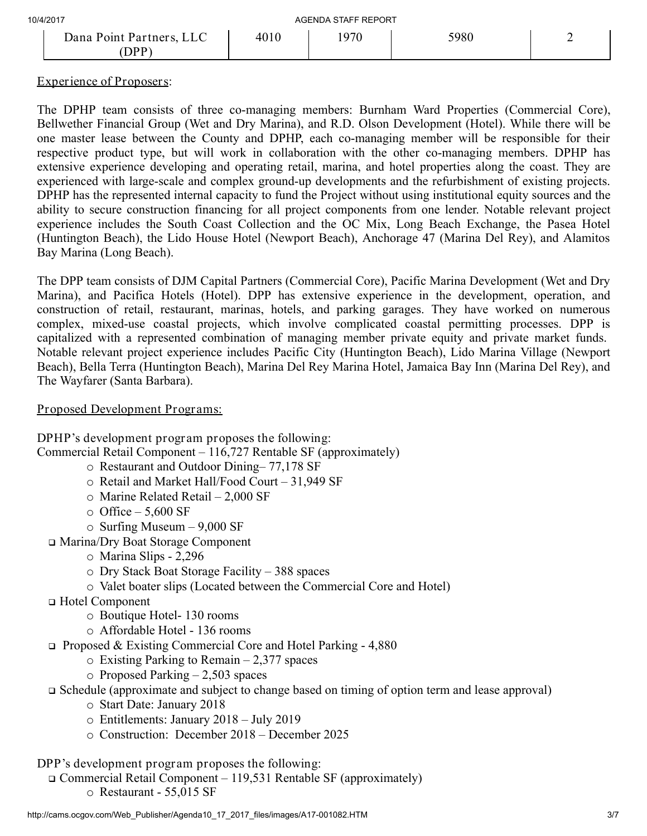| 10/4/2017                        | AGENDA STAFF REPORT |      |      |  |
|----------------------------------|---------------------|------|------|--|
| Dana Point Partners, LLC<br>ם מר | 4010                | 1970 | 5980 |  |

## Experience of Proposers:

The DPHP team consists of three co-managing members: Burnham Ward Properties (Commercial Core), Bellwether Financial Group (Wet and Dry Marina), and R.D. Olson Development (Hotel). While there will be one master lease between the County and DPHP, each co-managing member will be responsible for their respective product type, but will work in collaboration with the other co-managing members. DPHP has extensive experience developing and operating retail, marina, and hotel properties along the coast. They are experienced with large-scale and complex ground-up developments and the refurbishment of existing projects. DPHP has the represented internal capacity to fund the Project without using institutional equity sources and the ability to secure construction financing for all project components from one lender. Notable relevant project experience includes the South Coast Collection and the OC Mix, Long Beach Exchange, the Pasea Hotel (Huntington Beach), the Lido House Hotel (Newport Beach), Anchorage 47 (Marina Del Rey), and Alamitos Bay Marina (Long Beach).

The DPP team consists of DJM Capital Partners (Commercial Core), Pacific Marina Development (Wet and Dry Marina), and Pacifica Hotels (Hotel). DPP has extensive experience in the development, operation, and construction of retail, restaurant, marinas, hotels, and parking garages. They have worked on numerous complex, mixed-use coastal projects, which involve complicated coastal permitting processes. DPP is capitalized with a represented combination of managing member private equity and private market funds. Notable relevant project experience includes Pacific City (Huntington Beach), Lido Marina Village (Newport Beach), Bella Terra (Huntington Beach), Marina Del Rey Marina Hotel, Jamaica Bay Inn (Marina Del Rey), and The Wayfarer (Santa Barbara).

#### Proposed Development Programs:

DPHP's development program proposes the following: Commercial Retail Component – 116,727 Rentable SF (approximately) o Restaurant and Outdoor Dining– 77,178 SF

- o Retail and Market Hall/Food Court 31,949 SF
- o Marine Related Retail 2,000 SF
- 
- $\circ$  Office 5,600 SF
- o Surfing Museum 9,000 SF
- Marina/Dry Boat Storage Component
	- o Marina Slips 2,296
	- o Dry Stack Boat Storage Facility 388 spaces
	- o Valet boater slips (Located between the Commercial Core and Hotel)
- Hotel Component
	- o Boutique Hotel- 130 rooms
	- o Affordable Hotel 136 rooms
- Proposed & Existing Commercial Core and Hotel Parking 4,880
	- $\circ$  Existing Parking to Remain 2,377 spaces
	- $\circ$  Proposed Parking 2,503 spaces

# Schedule (approximate and subject to change based on timing of option term and lease approval)

- o Start Date: January 2018
- o Entitlements: January 2018 July 2019
- o Construction: December 2018 December 2025

## DPP's development program proposes the following:

Commercial Retail Component – 119,531 Rentable SF (approximately)

o Restaurant - 55,015 SF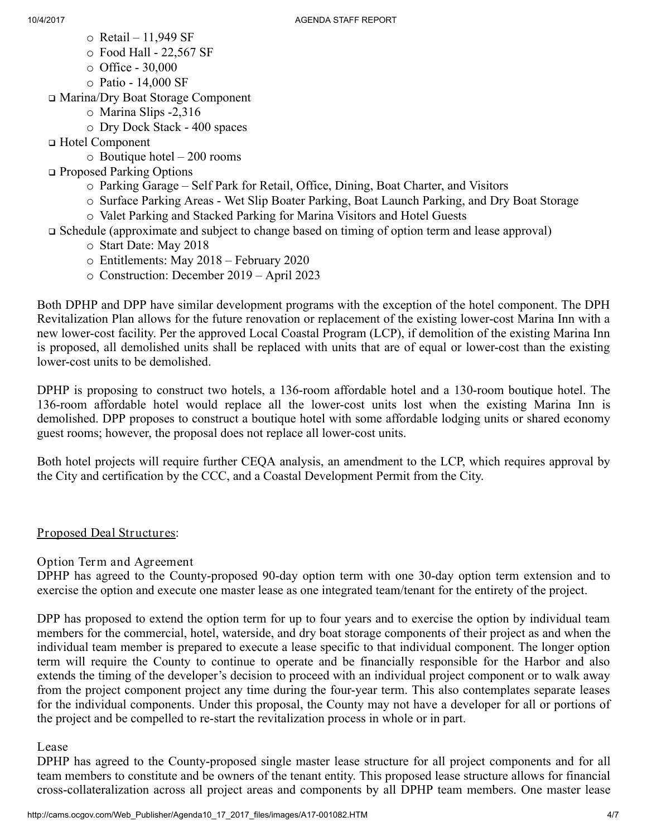- o Retail 11,949 SF
- o Food Hall 22,567 SF
- o Office 30,000
- o Patio 14,000 SF

Marina/Dry Boat Storage Component

- o Marina Slips -2,316
- o Dry Dock Stack 400 spaces

Hotel Component

o Boutique hotel – 200 rooms

□ Proposed Parking Options

- o Parking Garage Self Park for Retail, Office, Dining, Boat Charter, and Visitors
- o Surface Parking Areas Wet Slip Boater Parking, Boat Launch Parking, and Dry Boat Storage
- o Valet Parking and Stacked Parking for Marina Visitors and Hotel Guests
- Schedule (approximate and subject to change based on timing of option term and lease approval)
	- o Start Date: May 2018
	- o Entitlements: May 2018 February 2020
	- o Construction: December 2019 April 2023

Both DPHP and DPP have similar development programs with the exception of the hotel component. The DPH Revitalization Plan allows for the future renovation or replacement of the existing lower-cost Marina Inn with a new lower-cost facility. Per the approved Local Coastal Program (LCP), if demolition of the existing Marina Inn is proposed, all demolished units shall be replaced with units that are of equal or lower-cost than the existing lower-cost units to be demolished.

DPHP is proposing to construct two hotels, a 136-room affordable hotel and a 130-room boutique hotel. The 136-room affordable hotel would replace all the lower-cost units lost when the existing Marina Inn is demolished. DPP proposes to construct a boutique hotel with some affordable lodging units or shared economy guest rooms; however, the proposal does not replace all lower-cost units.

Both hotel projects will require further CEQA analysis, an amendment to the LCP, which requires approval by the City and certification by the CCC, and a Coastal Development Permit from the City.

## Proposed Deal Structures:

Option Term and Agreement

DPHP has agreed to the County-proposed 90-day option term with one 30-day option term extension and to exercise the option and execute one master lease as one integrated team/tenant for the entirety of the project.

DPP has proposed to extend the option term for up to four years and to exercise the option by individual team members for the commercial, hotel, waterside, and dry boat storage components of their project as and when the individual team member is prepared to execute a lease specific to that individual component. The longer option term will require the County to continue to operate and be financially responsible for the Harbor and also extends the timing of the developer's decision to proceed with an individual project component or to walk away from the project component project any time during the four-year term. This also contemplates separate leases for the individual components. Under this proposal, the County may not have a developer for all or portions of the project and be compelled to re-start the revitalization process in whole or in part.

## Lease

DPHP has agreed to the County-proposed single master lease structure for all project components and for all team members to constitute and be owners of the tenant entity. This proposed lease structure allows for financial cross-collateralization across all project areas and components by all DPHP team members. One master lease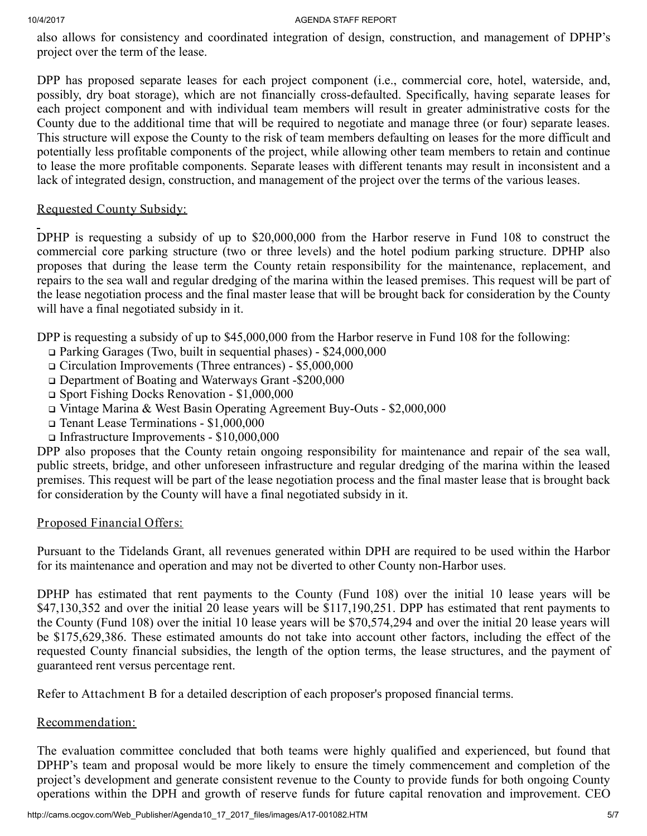#### 10/4/2017 AGENDA STAFF REPORT

also allows for consistency and coordinated integration of design, construction, and management of DPHP's project over the term of the lease.

DPP has proposed separate leases for each project component (i.e., commercial core, hotel, waterside, and, possibly, dry boat storage), which are not financially cross-defaulted. Specifically, having separate leases for each project component and with individual team members will result in greater administrative costs for the County due to the additional time that will be required to negotiate and manage three (or four) separate leases. This structure will expose the County to the risk of team members defaulting on leases for the more difficult and potentially less profitable components of the project, while allowing other team members to retain and continue to lease the more profitable components. Separate leases with different tenants may result in inconsistent and a lack of integrated design, construction, and management of the project over the terms of the various leases.

## Requested County Subsidy:

DPHP is requesting a subsidy of up to \$20,000,000 from the Harbor reserve in Fund 108 to construct the commercial core parking structure (two or three levels) and the hotel podium parking structure. DPHP also proposes that during the lease term the County retain responsibility for the maintenance, replacement, and repairs to the sea wall and regular dredging of the marina within the leased premises. This request will be part of the lease negotiation process and the final master lease that will be brought back for consideration by the County will have a final negotiated subsidy in it.

DPP is requesting a subsidy of up to \$45,000,000 from the Harbor reserve in Fund 108 for the following:

- Parking Garages (Two, built in sequential phases) \$24,000,000
- Circulation Improvements (Three entrances) \$5,000,000
- Department of Boating and Waterways Grant -\$200,000
- Sport Fishing Docks Renovation \$1,000,000
- Vintage Marina & West Basin Operating Agreement Buy-Outs \$2,000,000
- Tenant Lease Terminations \$1,000,000
- Infrastructure Improvements \$10,000,000

DPP also proposes that the County retain ongoing responsibility for maintenance and repair of the sea wall, public streets, bridge, and other unforeseen infrastructure and regular dredging of the marina within the leased premises. This request will be part of the lease negotiation process and the final master lease that is brought back for consideration by the County will have a final negotiated subsidy in it.

## Proposed Financial Offers:

Pursuant to the Tidelands Grant, all revenues generated within DPH are required to be used within the Harbor for its maintenance and operation and may not be diverted to other County non-Harbor uses.

DPHP has estimated that rent payments to the County (Fund 108) over the initial 10 lease years will be \$47,130,352 and over the initial 20 lease years will be \$117,190,251. DPP has estimated that rent payments to the County (Fund 108) over the initial 10 lease years will be \$70,574,294 and over the initial 20 lease years will be \$175,629,386. These estimated amounts do not take into account other factors, including the effect of the requested County financial subsidies, the length of the option terms, the lease structures, and the payment of guaranteed rent versus percentage rent.

Refer to Attachment B for a detailed description of each proposer's proposed financial terms.

## Recommendation:

The evaluation committee concluded that both teams were highly qualified and experienced, but found that DPHP's team and proposal would be more likely to ensure the timely commencement and completion of the project's development and generate consistent revenue to the County to provide funds for both ongoing County operations within the DPH and growth of reserve funds for future capital renovation and improvement. CEO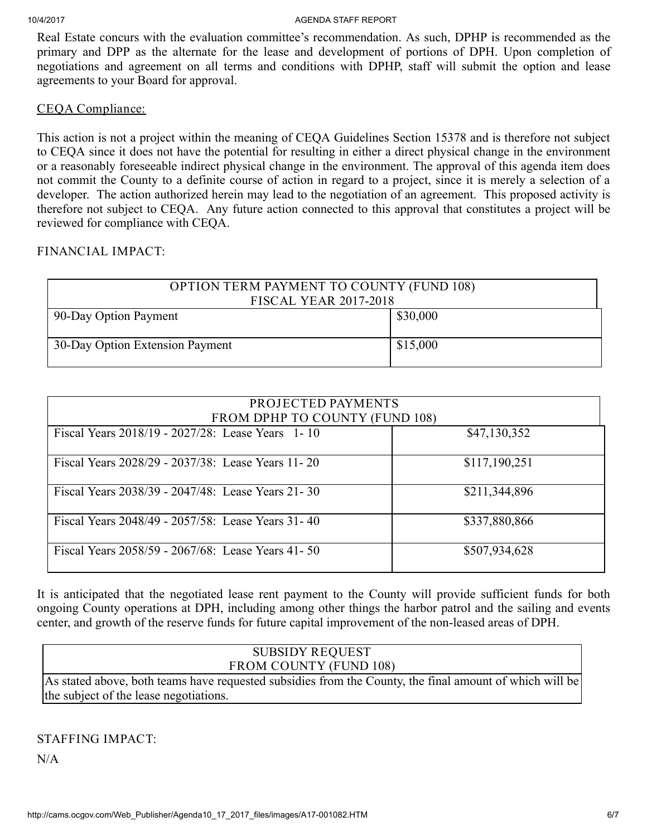Real Estate concurs with the evaluation committee's recommendation. As such, DPHP is recommended as the primary and DPP as the alternate for the lease and development of portions of DPH. Upon completion of negotiations and agreement on all terms and conditions with DPHP, staff will submit the option and lease agreements to your Board for approval.

### CEQA Compliance:

This action is not a project within the meaning of CEQA Guidelines Section 15378 and is therefore not subject to CEQA since it does not have the potential for resulting in either a direct physical change in the environment or a reasonably foreseeable indirect physical change in the environment. The approval of this agenda item does not commit the County to a definite course of action in regard to a project, since it is merely a selection of a developer. The action authorized herein may lead to the negotiation of an agreement. This proposed activity is therefore not subject to CEQA. Any future action connected to this approval that constitutes a project will be reviewed for compliance with CEQA.

## FINANCIAL IMPACT:

| <b>OPTION TERM PAYMENT TO COUNTY (FUND 108)</b><br><b>FISCAL YEAR 2017-2018</b> |          |
|---------------------------------------------------------------------------------|----------|
| 90-Day Option Payment                                                           | \$30,000 |
| 30-Day Option Extension Payment                                                 | \$15,000 |

| PROJECTED PAYMENTS<br>FROM DPHP TO COUNTY (FUND 108) |               |
|------------------------------------------------------|---------------|
| Fiscal Years 2018/19 - 2027/28: Lease Years 1-10     | \$47,130,352  |
| Fiscal Years 2028/29 - 2037/38: Lease Years 11-20    | \$117,190,251 |
| Fiscal Years 2038/39 - 2047/48: Lease Years 21-30    | \$211,344,896 |
| Fiscal Years 2048/49 - 2057/58: Lease Years 31-40    | \$337,880,866 |
| Fiscal Years 2058/59 - 2067/68: Lease Years 41-50    | \$507,934,628 |

It is anticipated that the negotiated lease rent payment to the County will provide sufficient funds for both ongoing County operations at DPH, including among other things the harbor patrol and the sailing and events center, and growth of the reserve funds for future capital improvement of the non-leased areas of DPH.

# SUBSIDY REQUEST FROM COUNTY (FUND 108)

As stated above, both teams have requested subsidies from the County, the final amount of which will be the subject of the lease negotiations.

STAFFING IMPACT:

N/A